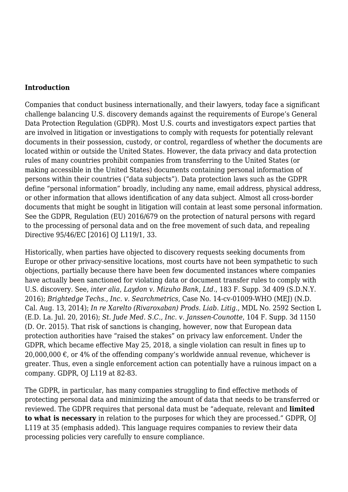#### **Introduction**

Companies that conduct business internationally, and their lawyers, today face a significant challenge balancing U.S. discovery demands against the requirements of Europe's General Data Protection Regulation (GDPR). Most U.S. courts and investigators expect parties that are involved in litigation or investigations to comply with requests for potentially relevant documents in their possession, custody, or control, regardless of whether the documents are located within or outside the United States. However, the data privacy and data protection rules of many countries prohibit companies from transferring to the United States (or making accessible in the United States) documents containing personal information of persons within their countries ("data subjects"). Data protection laws such as the GDPR define "personal information" broadly, including any name, email address, physical address, or other information that allows identification of any data subject. Almost all cross-border documents that might be sought in litigation will contain at least some personal information. See the GDPR, Regulation (EU) 2016/679 on the protection of natural persons with regard to the processing of personal data and on the free movement of such data, and repealing Directive 95/46/EC [2016] OJ L119/1, 33.

Historically, when parties have objected to discovery requests seeking documents from Europe or other privacy-sensitive locations, most courts have not been sympathetic to such objections, partially because there have been few documented instances where companies have actually been sanctioned for violating data or document transfer rules to comply with U.S. discovery. See, *inter alia*, *Laydon v. Mizuho Bank, Ltd.*, 183 F. Supp. 3d 409 (S.D.N.Y. 2016); *Brightedge Techs., Inc. v. Searchmetrics*, Case No. 14-cv-01009-WHO (MEJ) (N.D. Cal. Aug. 13, 2014); *In re Xarelto (Rivaroxaban) Prods. Liab. Litig.*, MDL No. 2592 Section L (E.D. La. Jul. 20, 2016); *St. Jude Med. S.C., Inc. v. Janssen-Counotte*, 104 F. Supp. 3d 1150 (D. Or. 2015). That risk of sanctions is changing, however, now that European data protection authorities have "raised the stakes" on privacy law enforcement. Under the GDPR, which became effective May 25, 2018, a single violation can result in fines up to 20,000,000  $\epsilon$ , or 4% of the offending company's worldwide annual revenue, whichever is greater. Thus, even a single enforcement action can potentially have a ruinous impact on a company. GDPR, OJ L119 at 82-83.

The GDPR, in particular, has many companies struggling to find effective methods of protecting personal data and minimizing the amount of data that needs to be transferred or reviewed. The GDPR requires that personal data must be "adequate, relevant and **limited to what is necessary** in relation to the purposes for which they are processed." GDPR, OJ L119 at 35 (emphasis added). This language requires companies to review their data processing policies very carefully to ensure compliance.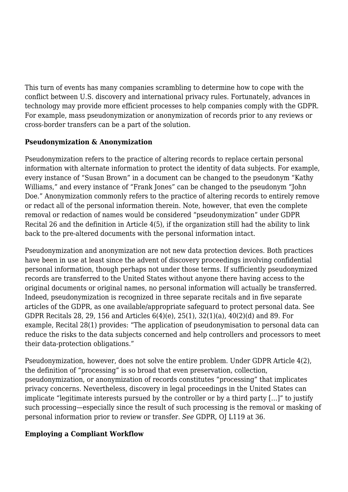This turn of events has many companies scrambling to determine how to cope with the conflict between U.S. discovery and international privacy rules. Fortunately, advances in technology may provide more efficient processes to help companies comply with the GDPR. For example, mass pseudonymization or anonymization of records prior to any reviews or cross-border transfers can be a part of the solution.

## **Pseudonymization & Anonymization**

Pseudonymization refers to the practice of altering records to replace certain personal information with alternate information to protect the identity of data subjects. For example, every instance of "Susan Brown" in a document can be changed to the pseudonym "Kathy Williams," and every instance of "Frank Jones" can be changed to the pseudonym "John Doe." Anonymization commonly refers to the practice of altering records to entirely remove or redact all of the personal information therein. Note, however, that even the complete removal or redaction of names would be considered "pseudonymization" under GDPR Recital 26 and the definition in Article 4(5), if the organization still had the ability to link back to the pre-altered documents with the personal information intact.

Pseudonymization and anonymization are not new data protection devices. Both practices have been in use at least since the advent of discovery proceedings involving confidential personal information, though perhaps not under those terms. If sufficiently pseudonymized records are transferred to the United States without anyone there having access to the original documents or original names, no personal information will actually be transferred. Indeed, pseudonymization is recognized in three separate recitals and in five separate articles of the GDPR, as one available/appropriate safeguard to protect personal data. See GDPR Recitals 28, 29, 156 and Articles 6(4)(e), 25(1), 32(1)(a), 40(2)(d) and 89. For example, Recital 28(1) provides: "The application of pseudonymisation to personal data can reduce the risks to the data subjects concerned and help controllers and processors to meet their data-protection obligations."

Pseudonymization, however, does not solve the entire problem. Under GDPR Article 4(2), the definition of "processing" is so broad that even preservation, collection, pseudonymization, or anonymization of records constitutes "processing" that implicates privacy concerns. Nevertheless, discovery in legal proceedings in the United States can implicate "legitimate interests pursued by the controller or by a third party […]" to justify such processing—especially since the result of such processing is the removal or masking of personal information prior to review or transfer. *See* GDPR, OJ L119 at 36.

## **Employing a Compliant Workflow**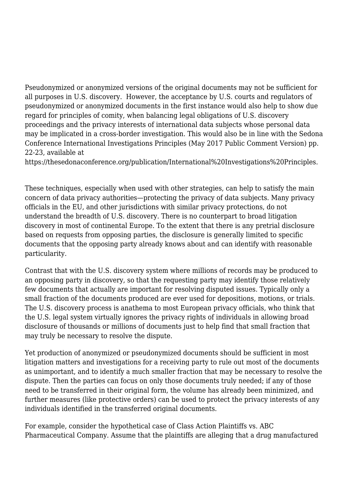Pseudonymized or anonymized versions of the original documents may not be sufficient for all purposes in U.S. discovery. However, the acceptance by U.S. courts and regulators of pseudonymized or anonymized documents in the first instance would also help to show due regard for principles of comity, when balancing legal obligations of U.S. discovery proceedings and the privacy interests of international data subjects whose personal data may be implicated in a cross-border investigation. This would also be in line with the Sedona Conference International Investigations Principles (May 2017 Public Comment Version) pp. 22-23, available at

https://thesedonaconference.org/publication/International%20Investigations%20Principles.

These techniques, especially when used with other strategies, can help to satisfy the main concern of data privacy authorities—protecting the privacy of data subjects. Many privacy officials in the EU, and other jurisdictions with similar privacy protections, do not understand the breadth of U.S. discovery. There is no counterpart to broad litigation discovery in most of continental Europe. To the extent that there is any pretrial disclosure based on requests from opposing parties, the disclosure is generally limited to specific documents that the opposing party already knows about and can identify with reasonable particularity.

Contrast that with the U.S. discovery system where millions of records may be produced to an opposing party in discovery, so that the requesting party may identify those relatively few documents that actually are important for resolving disputed issues. Typically only a small fraction of the documents produced are ever used for depositions, motions, or trials. The U.S. discovery process is anathema to most European privacy officials, who think that the U.S. legal system virtually ignores the privacy rights of individuals in allowing broad disclosure of thousands or millions of documents just to help find that small fraction that may truly be necessary to resolve the dispute.

Yet production of anonymized or pseudonymized documents should be sufficient in most litigation matters and investigations for a receiving party to rule out most of the documents as unimportant, and to identify a much smaller fraction that may be necessary to resolve the dispute. Then the parties can focus on only those documents truly needed; if any of those need to be transferred in their original form, the volume has already been minimized, and further measures (like protective orders) can be used to protect the privacy interests of any individuals identified in the transferred original documents.

For example, consider the hypothetical case of Class Action Plaintiffs vs. ABC Pharmaceutical Company. Assume that the plaintiffs are alleging that a drug manufactured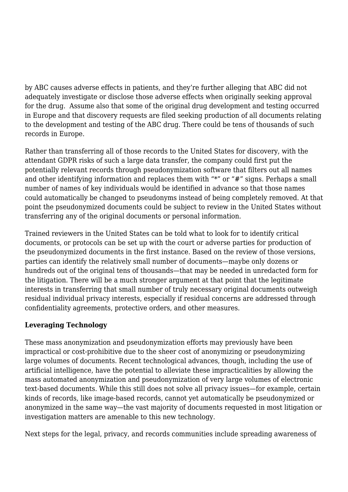by ABC causes adverse effects in patients, and they're further alleging that ABC did not adequately investigate or disclose those adverse effects when originally seeking approval for the drug. Assume also that some of the original drug development and testing occurred in Europe and that discovery requests are filed seeking production of all documents relating to the development and testing of the ABC drug. There could be tens of thousands of such records in Europe.

Rather than transferring all of those records to the United States for discovery, with the attendant GDPR risks of such a large data transfer, the company could first put the potentially relevant records through pseudonymization software that filters out all names and other identifying information and replaces them with "\*" or "#" signs. Perhaps a small number of names of key individuals would be identified in advance so that those names could automatically be changed to pseudonyms instead of being completely removed. At that point the pseudonymized documents could be subject to review in the United States without transferring any of the original documents or personal information.

Trained reviewers in the United States can be told what to look for to identify critical documents, or protocols can be set up with the court or adverse parties for production of the pseudonymized documents in the first instance. Based on the review of those versions, parties can identify the relatively small number of documents—maybe only dozens or hundreds out of the original tens of thousands—that may be needed in unredacted form for the litigation. There will be a much stronger argument at that point that the legitimate interests in transferring that small number of truly necessary original documents outweigh residual individual privacy interests, especially if residual concerns are addressed through confidentiality agreements, protective orders, and other measures.

## **Leveraging Technology**

These mass anonymization and pseudonymization efforts may previously have been impractical or cost-prohibitive due to the sheer cost of anonymizing or pseudonymizing large volumes of documents. Recent technological advances, though, including the use of artificial intelligence, have the potential to alleviate these impracticalities by allowing the mass automated anonymization and pseudonymization of very large volumes of electronic text-based documents. While this still does not solve all privacy issues—for example, certain kinds of records, like image-based records, cannot yet automatically be pseudonymized or anonymized in the same way—the vast majority of documents requested in most litigation or investigation matters are amenable to this new technology.

Next steps for the legal, privacy, and records communities include spreading awareness of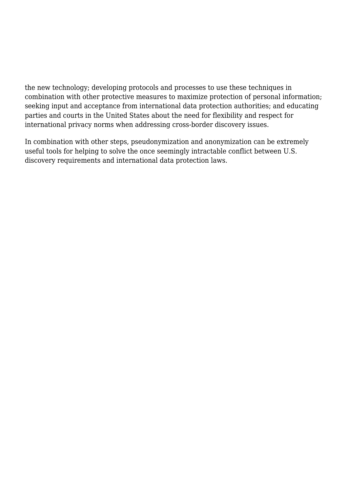the new technology; developing protocols and processes to use these techniques in combination with other protective measures to maximize protection of personal information; seeking input and acceptance from international data protection authorities; and educating parties and courts in the United States about the need for flexibility and respect for international privacy norms when addressing cross-border discovery issues.

In combination with other steps, pseudonymization and anonymization can be extremely useful tools for helping to solve the once seemingly intractable conflict between U.S. discovery requirements and international data protection laws.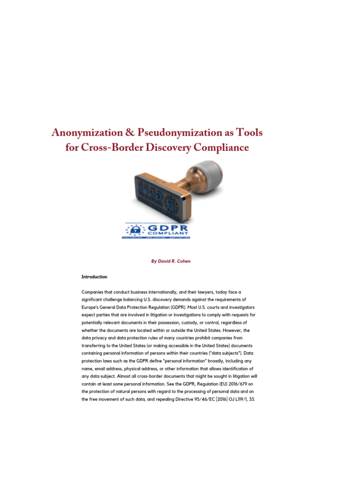# **Anonymization & Pseudonymization as Tools** for Cross-Border Discovery Compliance



**By David R. Cohen** 

#### Introduction

Companies that conduct business internationally, and their lawyers, today face a significant challenge balancing U.S. discovery demands against the requirements of Europe's General Data Protection Regulation (GDPR). Most U.S. courts and investigators expect parties that are involved in litigation or investigations to comply with requests for potentially relevant documents in their possession, custody, or control, regardless of whether the documents are located within or outside the United States. However, the data privacy and data protection rules of many countries prohibit companies from transferring to the United States (or making accessible in the United States) documents containing personal information of persons within their countries ("data subjects"). Data protection laws such as the GDPR define "personal information" broadly, including any name, email address, physical address, or other information that allows identification of any data subject. Almost all cross-border documents that might be sought in litigation will contain at least some personal information. See the GDPR, Regulation (EU) 2016/679 on the protection of natural persons with regard to the processing of personal data and on the free movement of such data, and repealing Directive 95/46/EC [2016] OJ L119/1, 33.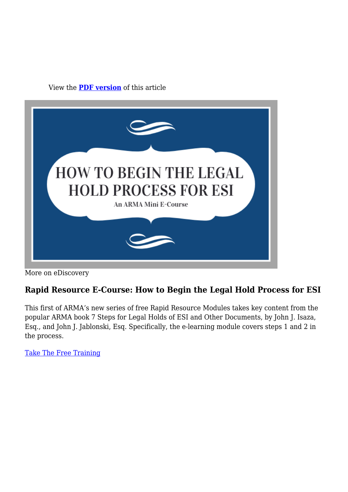View the **[PDF version](https://magazine.arma.org/wp-content/uploads/2019/10/Cohen-Article-1.pdf)** of this article



More on eDiscovery

## **Rapid Resource E-Course: How to Begin the Legal Hold Process for ESI**

This first of ARMA's new series of free Rapid Resource Modules takes key content from the popular ARMA book 7 Steps for Legal Holds of ESI and Other Documents, by John J. Isaza, Esq., and John J. Jablonski, Esq. Specifically, the e-learning module covers steps 1 and 2 in the process.

[Take The Free Training](https://armai.informz.net/ARMAI/pages/How_to_Begin_the_Legal_Hold_Process_for_ESI)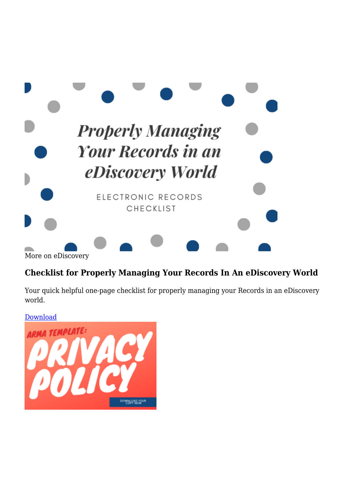

## **Checklist for Properly Managing Your Records In An eDiscovery World**

Your quick helpful one-page checklist for properly managing your Records in an eDiscovery world.

[Download](https://ARMAI.informz.net/ARMAI/pages/eDiscovery_ElectronicRecChecklist)

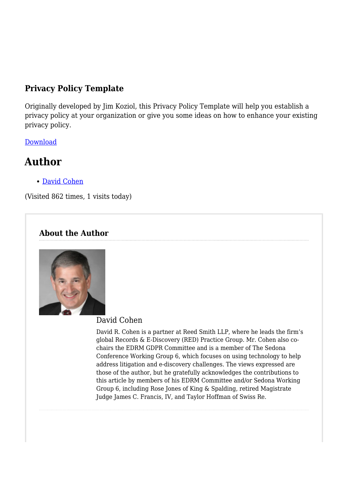## **Privacy Policy Template**

Originally developed by Jim Koziol, this Privacy Policy Template will help you establish a privacy policy at your organization or give you some ideas on how to enhance your existing privacy policy.

[Download](https://armai.informz.net/ARMAI/pages/Privacy_Policy_Template2)

# **Author**

[David Cohen](https://magazine.arma.org/author/davidcohen/)

(Visited 862 times, 1 visits today)

## **About the Author**



#### David Cohen

David R. Cohen is a partner at Reed Smith LLP, where he leads the firm's global Records & E-Discovery (RED) Practice Group. Mr. Cohen also cochairs the EDRM GDPR Committee and is a member of The Sedona Conference Working Group 6, which focuses on using technology to help address litigation and e-discovery challenges. The views expressed are those of the author, but he gratefully acknowledges the contributions to this article by members of his EDRM Committee and/or Sedona Working Group 6, including Rose Jones of King & Spalding, retired Magistrate Judge James C. Francis, IV, and Taylor Hoffman of Swiss Re.